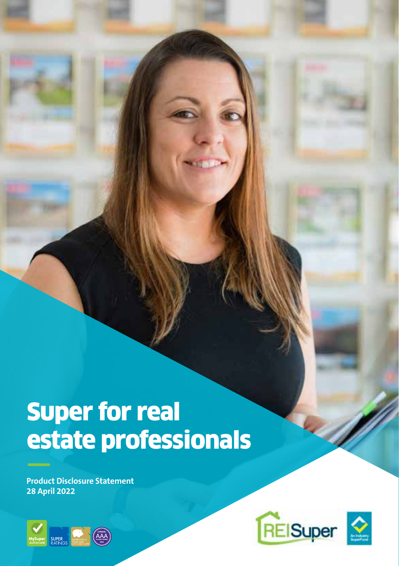# Super for real estate professionals

**Product Disclosure Statement 28 April 2022**



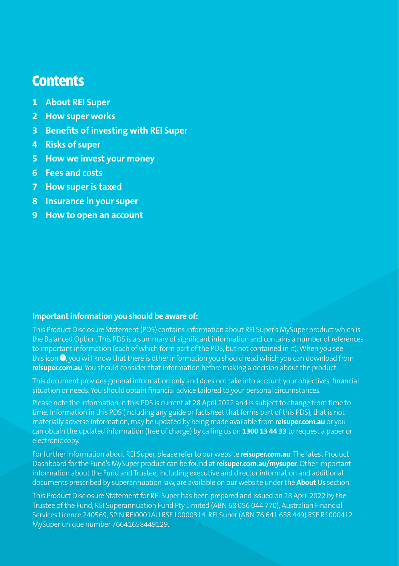### **Contents**

- **1 About REI Super**
- **2 How super works**
- **3 Benefits of investing with REI Super**
- **4 Risks of super**
- **5 How we invest your money**
- **6 Fees and costs**
- **7 How super is taxed**
- **8 Insurance in your super**
- **9 How to open an account**

#### **Important information you should be aware of:**

This Product Disclosure Statement (PDS) contains information about REI Super's MySuper product which is the Balanced Option. This PDS is a summary of significant information and contains a number of references to important information (each of which form part of the PDS, but not contained in it). When you see this icon <sup>(0</sup>), you will know that there is other information you should read which you can download from **reisuper.com.au**. You should consider that information before making a decision about the product.

This document provides general information only and does not take into account your objectives, financial situation or needs. You should obtain financial advice tailored to your personal circumstances.

Please note the information in this PDS is current at 28 April 2022 and is subject to change from time to time. Information in this PDS (including any guide or factsheet that forms part of this PDS), that is not materially adverse information, may be updated by being made available from **reisuper.com.au** or you can obtain the updated information (free of charge) by calling us on **1300 13 44 33** to request a paper or electronic copy.

For further information about REI Super, please refer to our website **reisuper.com.au**. The latest Product Dashboard for the Fund's MySuper product can be found at r**eisuper.com.au/mysuper**. Other important information about the Fund and Trustee, including executive and director information and additional documents prescribed by superannuation law, are available on our website under the **About Us** section.

This Product Disclosure Statement for REI Super has been prepared and issued on 28 April 2022 by the Trustee of the Fund, REI Superannuation Fund Pty Limited (ABN 68 056 044 770), Australian Financial Services Licence 240569, SPIN REI0001AU RSE L0000314. REI Super (ABN 76 641 658 449) RSE R1000412. MySuper unique number 76641658449129.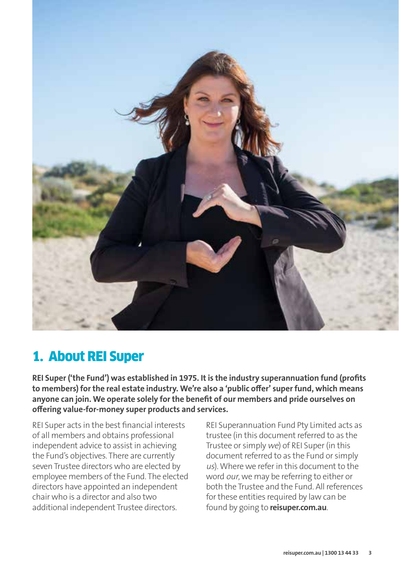

### 1. About REI Super

**REI Super ('the Fund') was established in 1975. It is the industry superannuation fund (profits to members) for the real estate industry. We're also a 'public offer' super fund, which means anyone can join. We operate solely for the benefit of our members and pride ourselves on offering value-for-money super products and services.**

REI Super acts in the best financial interests of all members and obtains professional independent advice to assist in achieving the Fund's objectives. There are currently seven Trustee directors who are elected by employee members of the Fund. The elected directors have appointed an independent chair who is a director and also two additional independent Trustee directors.

REI Superannuation Fund Pty Limited acts as trustee (in this document referred to as the Trustee or simply we) of REI Super (in this document referred to as the Fund or simply us). Where we refer in this document to the word our, we may be referring to either or both the Trustee and the Fund. All references for these entities required by law can be found by going to **reisuper.com.au**.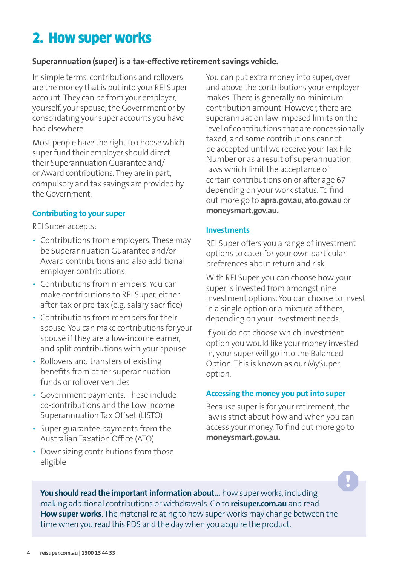# 2. How super works

#### **Superannuation (super) is a tax-effective retirement savings vehicle.**

In simple terms, contributions and rollovers are the money that is put into your REI Super account. They can be from your employer, yourself, your spouse, the Government or by consolidating your super accounts you have had elsewhere.

Most people have the right to choose which super fund their employer should direct their Superannuation Guarantee and/ or Award contributions. They are in part, compulsory and tax savings are provided by the Government.

#### **Contributing to your super**

REI Super accepts:

- Contributions from employers. These may be Superannuation Guarantee and/or Award contributions and also additional employer contributions
- Contributions from members. You can make contributions to REI Super, either after-tax or pre-tax (e.g. salary sacrifice)
- Contributions from members for their spouse. You can make contributions for your spouse if they are a low-income earner, and split contributions with your spouse
- Rollovers and transfers of existing benefits from other superannuation funds or rollover vehicles
- Government payments. These include co-contributions and the Low Income Superannuation Tax Offset (LISTO)
- Super guarantee payments from the Australian Taxation Office (ATO)
- Downsizing contributions from those eligible

You can put extra money into super, over and above the contributions your employer makes. There is generally no minimum contribution amount. However, there are superannuation law imposed limits on the level of contributions that are concessionally taxed, and some contributions cannot be accepted until we receive your Tax File Number or as a result of superannuation laws which limit the acceptance of certain contributions on or after age 67 depending on your work status. To find out more go to **apra.gov.au**, **ato.gov.au** or **moneysmart.gov.au.**

#### **Investments**

REI Super offers you a range of investment options to cater for your own particular preferences about return and risk.

With REI Super, you can choose how your super is invested from amongst nine investment options. You can choose to invest in a single option or a mixture of them, depending on your investment needs.

If you do not choose which investment option you would like your money invested in, your super will go into the Balanced Option. This is known as our MySuper option.

#### **Accessing the money you put into super**

Because super is for your retirement, the law is strict about how and when you can access your money. To find out more go to **moneysmart.gov.au.**

You should read the important information about... how super works, including making additional contributions or withdrawals. Go to **reisuper.com.au** and read **How super works**. The material relating to how super works may change between the time when you read this PDS and the day when you acquire the product.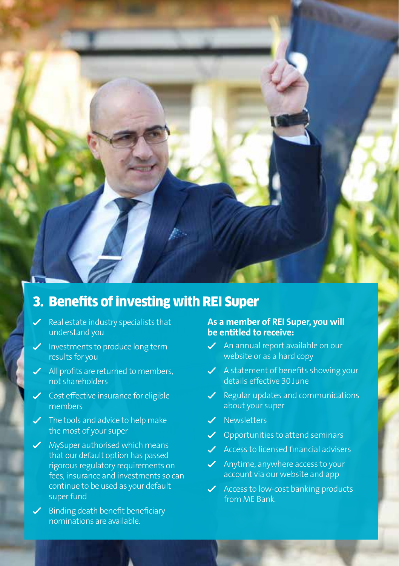### 3. Benefits of investing with REI Super

- $\checkmark$  Real estate industry specialists that understand you
- $\checkmark$  Investments to produce long term results for you
- $\blacktriangleright$  All profits are returned to members, not shareholders
- $\checkmark$  Cost effective insurance for eligible members
- $\checkmark$  The tools and advice to help make the most of your super
- MySuper authorised which means that our default option has passed rigorous regulatory requirements on fees, insurance and investments so can continue to be used as your default super fund
- $\checkmark$  Binding death benefit beneficiary nominations are available.

#### **As a member of REI Super, you will be entitled to receive:**

- $\angle$  An annual report available on our website or as a hard copy
- $\checkmark$  A statement of benefits showing your details effective 30 June
- $\swarrow$  Regular updates and communications about your super
- V Newsletters
- $\checkmark$  Opportunities to attend seminars
- $\angle$  Access to licensed financial advisers
- $\swarrow$  Anytime, anywhere access to your account via our website and app
- $\checkmark$  Access to low-cost banking products from ME Bank.

**reisuper.com.au | 1300 13 44 33 5**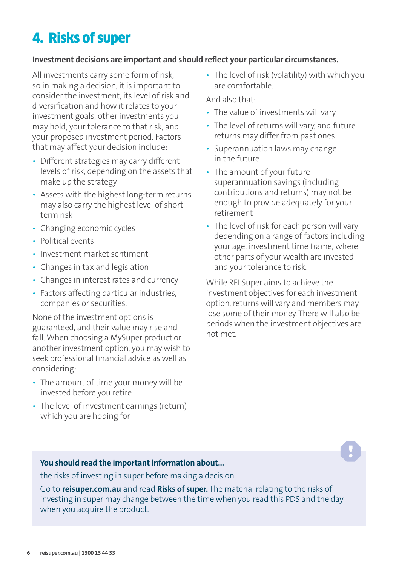# 4. Risks of super

#### **Investment decisions are important and should reflect your particular circumstances.**

All investments carry some form of risk, so in making a decision, it is important to consider the investment, its level of risk and diversification and how it relates to your investment goals, other investments you may hold, your tolerance to that risk, and your proposed investment period. Factors that may affect your decision include:

- Different strategies may carry different levels of risk, depending on the assets that make up the strategy
- Assets with the highest long-term returns may also carry the highest level of shortterm risk
- Changing economic cycles
- Political events
- Investment market sentiment
- Changes in tax and legislation
- Changes in interest rates and currency
- Factors affecting particular industries, companies or securities.

None of the investment options is guaranteed, and their value may rise and fall. When choosing a MySuper product or another investment option, you may wish to seek professional financial advice as well as considering:

- The amount of time your money will be invested before you retire
- The level of investment earnings (return) which you are hoping for

• The level of risk (volatility) with which you are comfortable.

And also that:

- The value of investments will vary
- The level of returns will vary, and future returns may differ from past ones
- Superannuation laws may change in the future
- The amount of your future superannuation savings (including contributions and returns) may not be enough to provide adequately for your retirement
- The level of risk for each person will vary depending on a range of factors including your age, investment time frame, where other parts of your wealth are invested and your tolerance to risk.

While REI Super aims to achieve the investment objectives for each investment option, returns will vary and members may lose some of their money. There will also be periods when the investment objectives are not met.

#### **You should read the important information about...**

the risks of investing in super before making a decision.

Go to **reisuper.com.au** and read **Risks of super.** The material relating to the risks of investing in super may change between the time when you read this PDS and the day when you acquire the product.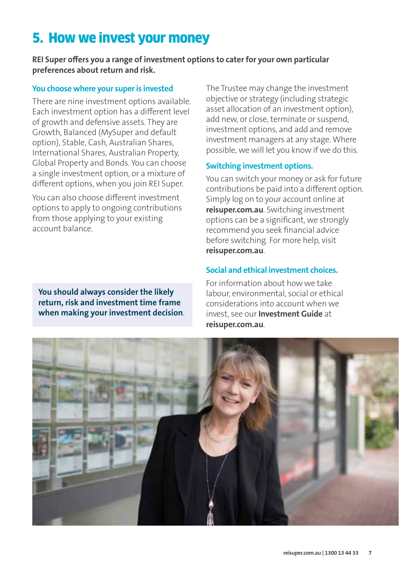# 5. How we invest your money

**REI Super offers you a range of investment options to cater for your own particular preferences about return and risk.**

#### **You choose where your super is invested**

There are nine investment options available. Each investment option has a different level of growth and defensive assets. They are Growth, Balanced (MySuper and default option), Stable, Cash, Australian Shares, International Shares, Australian Property, Global Property and Bonds. You can choose a single investment option, or a mixture of different options, when you join REI Super.

You can also choose different investment options to apply to ongoing contributions from those applying to your existing account balance.

**You should always consider the likely return, risk and investment time frame when making your investment decision**. The Trustee may change the investment objective or strategy (including strategic asset allocation of an investment option), add new, or close, terminate or suspend, investment options, and add and remove investment managers at any stage. Where possible, we will let you know if we do this.

#### **Switching investment options.**

You can switch your money or ask for future contributions be paid into a different option. Simply log on to your account online at **reisuper.com.au**. Switching investment options can be a significant, we strongly recommend you seek financial advice before switching. For more help, visit **reisuper.com.au**.

#### **Social and ethical investment choices.**

For information about how we take labour, environmental, social or ethical considerations into account when we invest, see our **Investment Guide** at **reisuper.com.au**.

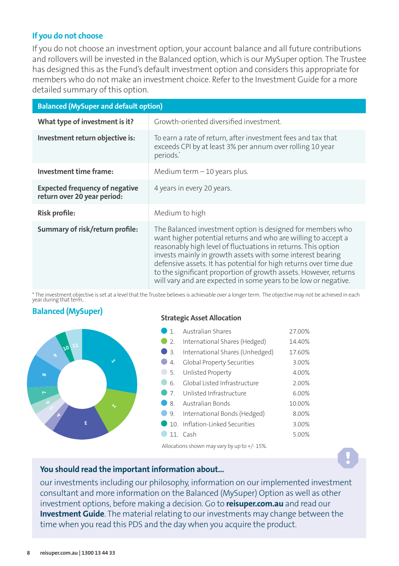#### **If you do not choose**

If you do not choose an investment option, your account balance and all future contributions and rollovers will be invested in the Balanced option, which is our MySuper option. The Trustee has designed this as the Fund's default investment option and considers this appropriate for members who do not make an investment choice. Refer to the Investment Guide for a more detailed summary of this option.

| <b>Balanced (MySuper and default option)</b>                         |                                                                                                                                                                                                                                                                                                                                                                                                                                                                        |  |  |  |
|----------------------------------------------------------------------|------------------------------------------------------------------------------------------------------------------------------------------------------------------------------------------------------------------------------------------------------------------------------------------------------------------------------------------------------------------------------------------------------------------------------------------------------------------------|--|--|--|
| What type of investment is it?                                       | Growth-oriented diversified investment.                                                                                                                                                                                                                                                                                                                                                                                                                                |  |  |  |
| Investment return objective is:                                      | To earn a rate of return, after investment fees and tax that<br>exceeds CPI by at least 3% per annum over rolling 10 year<br>periods.                                                                                                                                                                                                                                                                                                                                  |  |  |  |
| Investment time frame:                                               | Medium term $-10$ years plus.                                                                                                                                                                                                                                                                                                                                                                                                                                          |  |  |  |
| <b>Expected frequency of negative</b><br>return over 20 year period: | 4 years in every 20 years.                                                                                                                                                                                                                                                                                                                                                                                                                                             |  |  |  |
| Risk profile:                                                        | Medium to high                                                                                                                                                                                                                                                                                                                                                                                                                                                         |  |  |  |
| Summary of risk/return profile:                                      | The Balanced investment option is designed for members who<br>want higher potential returns and who are willing to accept a<br>reasonably high level of fluctuations in returns. This option<br>invests mainly in growth assets with some interest bearing<br>defensive assets. It has potential for high returns over time due<br>to the significant proportion of growth assets. However, returns<br>will vary and are expected in some years to be low or negative. |  |  |  |

\* The investment objective is set at a level that the Trustee believes is achievable over a longer term. The objective may not be achieved in each year during that term..

#### **Balanced (MySuper)**



#### **Strategic Asset Allocation**

| 1                           | <b>Australian Shares</b>        | 27.00% |
|-----------------------------|---------------------------------|--------|
| 2.                          | International Shares (Hedged)   | 14.40% |
| 3.                          | International Shares (Unhedged) | 17.60% |
| $\mathcal{A}_{\cdot}$       | Global Property Securities      | 3.00%  |
| -5.                         | Unlisted Property               | 4.00%  |
| 6.                          | Global Listed Infrastructure    | 2.00%  |
| $\overline{\phantom{0}}$ 7. | Unlisted Infrastructure         | 6.00%  |
| 8.                          | Australian Bonds                | 10.00% |
| 9.                          | International Bonds (Hedged)    | 8.00%  |
|                             | 10. Inflation-Linked Securities | 3.00%  |
| 11.                         | Cash                            | 5.00%  |

Allocations shown may vary by up to +/- 15%.

#### **You should read the important information about...**

our investments including our philosophy, information on our implemented investment consultant and more information on the Balanced (MySuper) Option as well as other investment options, before making a decision. Go to **reisuper.com.au** and read our **Investment Guide**. The material relating to our investments may change between the time when you read this PDS and the day when you acquire the product.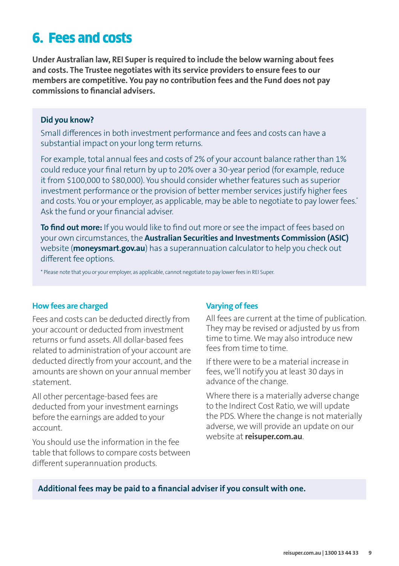### 6. Fees and costs

**Under Australian law, REI Super is required to include the below warning about fees and costs. The Trustee negotiates with its service providers to ensure fees to our members are competitive. You pay no contribution fees and the Fund does not pay commissions to financial advisers.**

#### **Did you know?**

Small differences in both investment performance and fees and costs can have a substantial impact on your long term returns.

For example, total annual fees and costs of 2% of your account balance rather than 1% could reduce your final return by up to 20% over a 30-year period (for example, reduce it from \$100,000 to \$80,000). You should consider whether features such as superior investment performance or the provision of better member services justify higher fees and costs. You or your employer, as applicable, may be able to negotiate to pay lower fees.<sup>\*</sup> Ask the fund or your financial adviser.

**To find out more:** If you would like to find out more or see the impact of fees based on your own circumstances, the **Australian Securities and Investments Commission (ASIC)** website (**moneysmart.gov.au**) has a superannuation calculator to help you check out different fee options.

\* Please note that you or your employer, as applicable, cannot negotiate to pay lower fees in REI Super.

#### **How fees are charged**

Fees and costs can be deducted directly from your account or deducted from investment returns or fund assets. All dollar-based fees related to administration of your account are deducted directly from your account, and the amounts are shown on your annual member statement.

All other percentage-based fees are deducted from your investment earnings before the earnings are added to your account.

You should use the information in the fee table that follows to compare costs between different superannuation products.

#### **Varying of fees**

All fees are current at the time of publication. They may be revised or adjusted by us from time to time. We may also introduce new fees from time to time.

If there were to be a material increase in fees, we'll notify you at least 30 days in advance of the change.

Where there is a materially adverse change to the Indirect Cost Ratio, we will update the PDS. Where the change is not materially adverse, we will provide an update on our website at **reisuper.com.au**.

**Additional fees may be paid to a financial adviser if you consult with one.**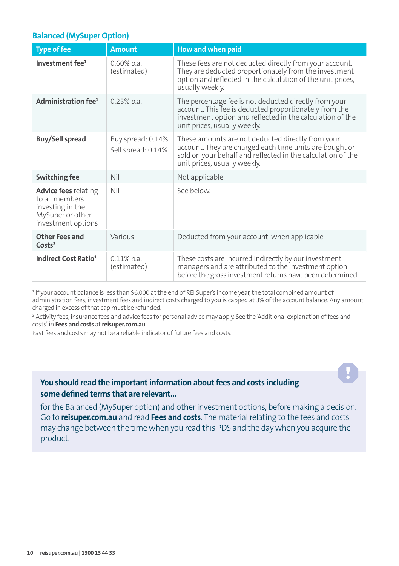#### **Balanced (MySuper Option)**

| <b>Type of fee</b>                                                                                          | <b>Amount</b>                           | How and when paid                                                                                                                                                                                            |
|-------------------------------------------------------------------------------------------------------------|-----------------------------------------|--------------------------------------------------------------------------------------------------------------------------------------------------------------------------------------------------------------|
| Investment fee <sup>1</sup>                                                                                 | $0.60\%$ p.a.<br>(estimated)            | These fees are not deducted directly from your account.<br>They are deducted proportionately from the investment<br>option and reflected in the calculation of the unit prices,<br>usually weekly.           |
| Administration fee <sup>1</sup>                                                                             | $0.25%$ p.a.                            | The percentage fee is not deducted directly from your<br>account. This fee is deducted proportionately from the<br>investment option and reflected in the calculation of the<br>unit prices, usually weekly. |
| Buy/Sell spread                                                                                             | Buy spread: 0.14%<br>Sell spread: 0.14% | These amounts are not deducted directly from your<br>account. They are charged each time units are bought or<br>sold on your behalf and reflected in the calculation of the<br>unit prices, usually weekly.  |
| Switching fee                                                                                               | Nil                                     | Not applicable.                                                                                                                                                                                              |
| <b>Advice fees</b> relating<br>to all members<br>investing in the<br>MySuper or other<br>investment options | Nil                                     | See below.                                                                                                                                                                                                   |
| <b>Other Fees and</b><br>Costs <sup>2</sup>                                                                 | Various                                 | Deducted from your account, when applicable                                                                                                                                                                  |
| Indirect Cost Ratio <sup>1</sup>                                                                            | $0.11\%$ p.a.<br>(estimated)            | These costs are incurred indirectly by our investment<br>managers and are attributed to the investment option<br>before the gross investment returns have been determined.                                   |

1 If your account balance is less than \$6,000 at the end of REI Super's income year, the total combined amount of administration fees, investment fees and indirect costs charged to you is capped at 3% of the account balance. Any amount charged in excess of that cap must be refunded.

2 Activity fees, insurance fees and advice fees for personal advice may apply. See the 'Additional explanation of fees and costs' in **Fees and costs** at **reisuper.com.au**.

Past fees and costs may not be a reliable indicator of future fees and costs.

#### **You should read the important information about fees and costs including some defined terms that are relevant...**

for the Balanced (MySuper option) and other investment options, before making a decision. Go to **reisuper.com.au** and read **Fees and costs**. The material relating to the fees and costs may change between the time when you read this PDS and the day when you acquire the product.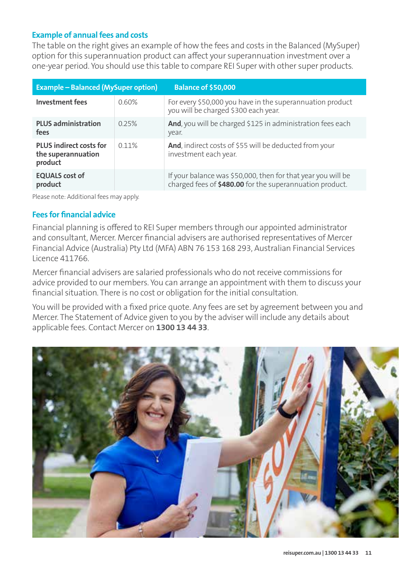#### **Example of annual fees and costs**

The table on the right gives an example of how the fees and costs in the Balanced (MySuper) option for this superannuation product can affect your superannuation investment over a one-year period. You should use this table to compare REI Super with other super products.

| <b>Example - Balanced (MySuper option)</b>                      |       | <b>Balance of \$50,000</b>                                                                                               |
|-----------------------------------------------------------------|-------|--------------------------------------------------------------------------------------------------------------------------|
| Investment fees                                                 | 0.60% | For every \$50,000 you have in the superannuation product<br>you will be charged \$300 each year.                        |
| <b>PLUS administration</b><br>fees                              | 0.25% | And, you will be charged \$125 in administration fees each<br>year.                                                      |
| <b>PLUS indirect costs for</b><br>the superannuation<br>product | 0.11% | And, indirect costs of \$55 will be deducted from your<br>investment each year.                                          |
| <b>EQUALS</b> cost of<br>product                                |       | If your balance was \$50,000, then for that year you will be<br>charged fees of \$480.00 for the superannuation product. |

Please note: Additional fees may apply.

#### **Fees for financial advice**

Financial planning is offered to REI Super members through our appointed administrator and consultant, Mercer. Mercer financial advisers are authorised representatives of Mercer Financial Advice (Australia) Pty Ltd (MFA) ABN 76 153 168 293, Australian Financial Services Licence 411766.

Mercer financial advisers are salaried professionals who do not receive commissions for advice provided to our members. You can arrange an appointment with them to discuss your financial situation. There is no cost or obligation for the initial consultation.

You will be provided with a fixed price quote. Any fees are set by agreement between you and Mercer. The Statement of Advice given to you by the adviser will include any details about applicable fees. Contact Mercer on **1300 13 44 33**.

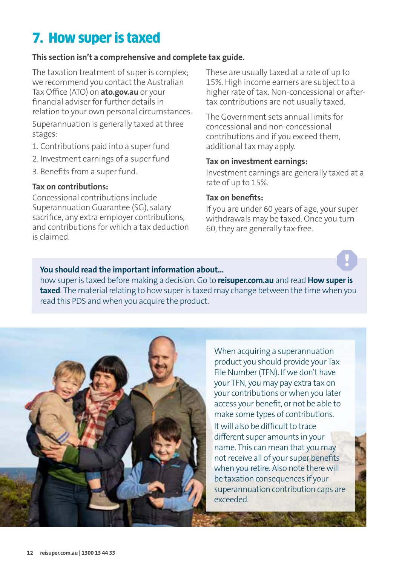# 7. How super is taxed

#### **This section isn't a comprehensive and complete tax guide.**

The taxation treatment of super is complex; we recommend you contact the Australian Tax Office (ATO) on **ato.gov.au** or your financial adviser for further details in relation to your own personal circumstances. Superannuation is generally taxed at three

stages:

- 1. Contributions paid into a super fund
- 2. Investment earnings of a super fund
- 3. Benefits from a super fund.

#### **Tax on contributions:**

Concessional contributions include Superannuation Guarantee (SG), salary sacrifice, any extra employer contributions, and contributions for which a tax deduction is claimed.

These are usually taxed at a rate of up to 15%. High income earners are subject to a higher rate of tax. Non-concessional or aftertax contributions are not usually taxed.

The Government sets annual limits for concessional and non-concessional contributions and if you exceed them, additional tax may apply.

#### **Tax on investment earnings:**

Investment earnings are generally taxed at a rate of up to 15%.

#### **Tax on benefits:**

If you are under 60 years of age, your super withdrawals may be taxed. Once you turn 60, they are generally tax-free.

#### **You should read the important information about...**

how super is taxed before making a decision. Go to **reisuper.com.au** and read **How super is taxed**. The material relating to how super is taxed may change between the time when you read this PDS and when you acquire the product.



When acquiring a superannuation product you should provide your Tax File Number (TFN). If we don't have your TFN, you may pay extra tax on your contributions or when you later access your benefit, or not be able to make some types of contributions. It will also be difficult to trace different super amounts in your name. This can mean that you may not receive all of your super benefits when you retire. Also note there will be taxation consequences if your superannuation contribution caps are exceeded.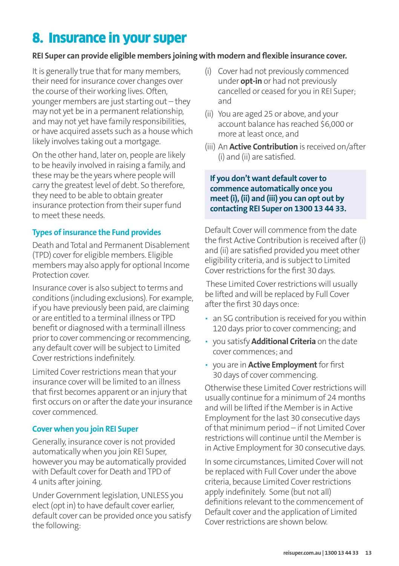# 8. Insurance in your super

#### **REI Super can provide eligible members joining with modern and flexible insurance cover.**

It is generally true that for many members, their need for insurance cover changes over the course of their working lives. Often, younger members are just starting out – they may not yet be in a permanent relationship, and may not yet have family responsibilities, or have acquired assets such as a house which likely involves taking out a mortgage.

On the other hand, later on, people are likely to be heavily involved in raising a family, and these may be the years where people will carry the greatest level of debt. So therefore, they need to be able to obtain greater insurance protection from their super fund to meet these needs.

#### **Types of insurance the Fund provides**

Death and Total and Permanent Disablement (TPD) cover for eligible members. Eligible members may also apply for optional Income Protection cover.

Insurance cover is also subject to terms and conditions (including exclusions). For example, if you have previously been paid, are claiming or are entitled to a terminal illness or TPD benefit or diagnosed with a terminall illness prior to cover commencing or recommencing, any default cover will be subject to Limited Cover restrictions indefinitely.

Limited Cover restrictions mean that your insurance cover will be limited to an illness that first becomes apparent or an injury that first occurs on or after the date your insurance cover commenced.

#### **Cover when you join REI Super**

Generally, insurance cover is not provided automatically when you join REI Super, however you may be automatically provided with Default cover for Death and TPD of 4 units after joining.

Under Government legislation, UNLESS you elect (opt in) to have default cover earlier, default cover can be provided once you satisfy the following:

- (i) Cover had not previously commenced under **opt-in** or had not previously cancelled or ceased for you in REI Super; and
- (ii) You are aged 25 or above, and your account balance has reached \$6,000 or more at least once, and
- (iii) An **Active Contribution** is received on/after (i) and (ii) are satisfied.

#### **If you don't want default cover to commence automatically once you meet (i), (ii) and (iii) you can opt out by contacting REI Super on 1300 13 44 33.**

Default Cover will commence from the date the first Active Contribution is received after (i) and (ii) are satisfied provided you meet other eligibility criteria, and is subject to Limited Cover restrictions for the first 30 days.

 These Limited Cover restrictions will usually be lifted and will be replaced by Full Cover after the first 30 days once:

- an SG contribution is received for you within 120 days prior to cover commencing; and
- you satisfy **Additional Criteria** on the date cover commences; and
- you are in **Active Employment** for first 30 days of cover commencing.

Otherwise these Limited Cover restrictions will usually continue for a minimum of 24 months and will be lifted if the Member is in Active Employment for the last 30 consecutive days of that minimum period – if not Limited Cover restrictions will continue until the Member is in Active Employment for 30 consecutive days.

In some circumstances, Limited Cover will not be replaced with Full Cover under the above criteria, because Limited Cover restrictions apply indefinitely. Some (but not all) definitions relevant to the commencement of Default cover and the application of Limited Cover restrictions are shown below.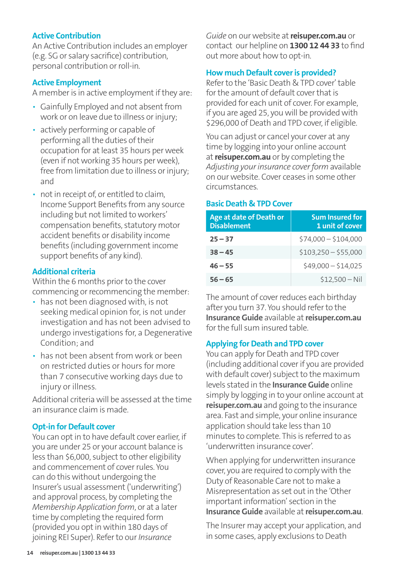#### **Active Contribution**

An Active Contribution includes an employer (e.g. SG or salary sacrifice) contribution, personal contribution or roll-in.

#### **Active Employment**

A member is in active employment if they are:

- Gainfully Employed and not absent from work or on leave due to illness or injury;
- actively performing or capable of performing all the duties of their occupation for at least 35 hours per week (even if not working 35 hours per week), free from limitation due to illness or injury; and
- not in receipt of, or entitled to claim, Income Support Benefits from any source including but not limited to workers' compensation benefits, statutory motor accident benefits or disability income benefits (including government income support benefits of any kind).

#### **Additional criteria**

Within the 6 months prior to the cover commencing or recommencing the member:

- has not been diagnosed with, is not seeking medical opinion for, is not under investigation and has not been advised to undergo investigations for, a Degenerative Condition; and
- has not been absent from work or been on restricted duties or hours for more than 7 consecutive working days due to injury or illness.

Additional criteria will be assessed at the time an insurance claim is made.

#### **Opt-in for Default cover**

You can opt in to have default cover earlier, if you are under 25 or your account balance is less than \$6,000, subject to other eligibility and commencement of cover rules. You can do this without undergoing the Insurer's usual assessment ('underwriting') and approval process, by completing the *Membership Application form*, or at a later time by completing the required form (provided you opt in within 180 days of joining REI Super). Refer to our *Insurance* 

*Guide* on our website at **reisuper.com.au** or contact our helpline on **1300 12 44 33** to find out more about how to opt-in.

#### **How much Default cover is provided?**

Refer to the 'Basic Death & TPD cover' table for the amount of default cover that is provided for each unit of cover. For example, if you are aged 25, you will be provided with \$296,000 of Death and TPD cover, if eligible.

You can adjust or cancel your cover at any time by logging into your online account at **reisuper.com.au** or by completing the *Adjusting your insurance cover form* available on our website. Cover ceases in some other circumstances.

#### **Basic Death & TPD Cover**

| Age at date of Death or<br><b>Disablement</b> | <b>Sum Insured for</b><br>1 unit of cover |
|-----------------------------------------------|-------------------------------------------|
| $25 - 37$                                     | $$74,000 - $104,000$                      |
| $38 - 45$                                     | $$103,250 - $55,000$                      |
| $46 - 55$                                     | $$49,000 - $14,025$                       |
| $56 - 65$                                     | $$12.500 - Nil$                           |

The amount of cover reduces each birthday after you turn 37. You should refer to the **Insurance Guide** available at **reisuper.com.au** for the full sum insured table.

#### **Applying for Death and TPD cover**

You can apply for Death and TPD cover (including additional cover if you are provided with default cover) subject to the maximum levels stated in the **Insurance Guide** online simply by logging in to your online account at **reisuper.com.au** and going to the insurance area. Fast and simple, your online insurance application should take less than 10 minutes to complete. This is referred to as 'underwritten insurance cover'.

When applying for underwritten insurance cover, you are required to comply with the Duty of Reasonable Care not to make a Misrepresentation as set out in the 'Other important information' section in the **Insurance Guide** available at **reisuper.com.au**.

The Insurer may accept your application, and in some cases, apply exclusions to Death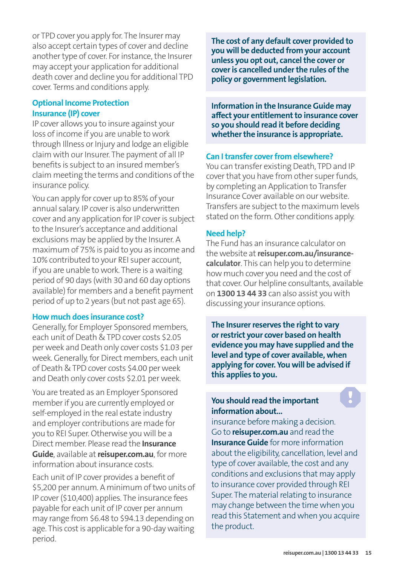or TPD cover you apply for. The Insurer may also accept certain types of cover and decline another type of cover. For instance, the Insurer may accept your application for additional death cover and decline you for additional TPD cover. Terms and conditions apply.

#### **Optional Income Protection Insurance (IP) cover**

IP cover allows you to insure against your loss of income if you are unable to work through Illness or Injury and lodge an eligible claim with our Insurer. The payment of all IP benefits is subject to an insured member's claim meeting the terms and conditions of the insurance policy.

You can apply for cover up to 85% of your annual salary. IP cover is also underwritten cover and any application for IP cover is subject to the Insurer's acceptance and additional exclusions may be applied by the Insurer. A maximum of 75% is paid to you as income and 10% contributed to your REI super account, if you are unable to work. There is a waiting period of 90 days (with 30 and 60 day options available) for members and a benefit payment period of up to 2 years (but not past age 65).

#### **How much does insurance cost?**

Generally, for Employer Sponsored members, each unit of Death & TPD cover costs \$2.05 per week and Death only cover costs \$1.03 per week. Generally, for Direct members, each unit of Death & TPD cover costs \$4.00 per week and Death only cover costs \$2.01 per week.

You are treated as an Employer Sponsored member if you are currently employed or self-employed in the real estate industry and employer contributions are made for you to REI Super. Otherwise you will be a Direct member. Please read the **Insurance Guide**, available at **reisuper.com.au**, for more information about insurance costs.

Each unit of IP cover provides a benefit of \$5,200 per annum. A minimum of two units of IP cover (\$10,400) applies. The insurance fees payable for each unit of IP cover per annum may range from \$6.48 to \$94.13 depending on age. This cost is applicable for a 90-day waiting period.

**The cost of any default cover provided to you will be deducted from your account unless you opt out, cancel the cover or cover is cancelled under the rules of the policy or government legislation.**

**Information in the Insurance Guide may affect your entitlement to insurance cover so you should read it before deciding whether the insurance is appropriate.**

#### **Can I transfer cover from elsewhere?**

You can transfer existing Death, TPD and IP cover that you have from other super funds, by completing an Application to Transfer Insurance Cover available on our website. Transfers are subject to the maximum levels stated on the form. Other conditions apply.

#### **Need help?**

The Fund has an insurance calculator on the website at **reisuper.com.au/insurancecalculator**. This can help you to determine how much cover you need and the cost of that cover. Our helpline consultants, available on **1300 13 44 33** can also assist you with discussing your insurance options.

**The Insurer reserves the right to vary or restrict your cover based on health evidence you may have supplied and the level and type of cover available, when applying for cover. You will be advised if this applies to you.**

#### **You should read the important information about...**

insurance before making a decision. Go to **reisuper.com.au** and read the **Insurance Guide** for more information about the eligibility, cancellation, level and type of cover available, the cost and any conditions and exclusions that may apply to insurance cover provided through REI Super. The material relating to insurance may change between the time when you read this Statement and when you acquire the product.